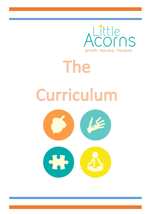

# The Curriculum  $\mathbf{S}$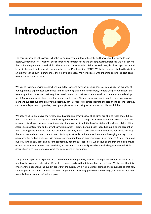# **Introduction**

The core purpose of Little Acorns School is to equip every pupil with the skills and knowledge they need to lead healthy, productive lives. Many of our children have complex needs and challenging circumstances, we look beyond this to find the potential of each child. These circumstances include children looked after, disadvantaged pupils and, in particular, pupils with special educational needs and/or disabilities (SEND). We believe every child has the right to an exciting, varied curriculum to meet their individual needs. We work closely with others to ensure the best possible outcomes for each child.

We aim to foster an environment where pupils feel safe and develop a secure sense of belonging. The majority of our pupils have experienced turbulence in their schooling and many have severe, complex, or profound needs that have a significant impact on their cognitive development and their social, emotional and communication development. Many of our pupils have complex mental health issues. We aim to support pupils in a family school environment and support pupils to achieve the best they can in order to maximise their life chances and to ensure that they can be as independent as possible, participating is society and being as healthy as possible in adult life.

We believe all children have the right to an education and firmly believe all children are able to reach there full potential. We believe that if a child is not learning then we need to change the way we teach. We do not take a 'one approach fits all' approach and adopt a variety of approaches to suit the learning styles of individual children. Little Acorns has an interesting and relevant curriculum which is created around each individual pupil, taking account of their starting point to ensure that their academic, spiritual, moral, social and cultural needs are addressed in a way that captures and motivates them to learn. Building trust, self-confidence, resilience and belonging are key to our approach. Our end point is clear. We promote preparation for, and appreciation of, life in modern Britain, equipping pupils with the knowledge and cultural capital they need to succeed in life. We believe all children should be provided with an education where they can thrive, no matter what their background or the challenges presented. Little Acorns have high expectations of what can be achieved by our pupils.

Many of our pupils have experienced a turbulent education pathway prior to starting at our school. Obtaining accurate baselines can be challenging. We seek to engage pupils so that this baseline can be found. We believe that it is important to understand the pupil in order that the curriculum is well matched, planned and sequenced so that new knowledge and skills build on what has been taught before, including pre-existing knowledge, and we can then build towards the curriculum defined end points.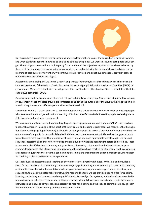Our curriculum is supported by rigorous planning and it is clear what end points the curriculum is building towards, and what pupils will need to know and be able to do at those end points. We work to securing each pupils EHCP target. These targets are set within a multi-agency forum and detail the objectives required to have been achieved by the end of the key stage they are working in. We work to this end point with the children's Provision Maps key the planning of each subject/intervention. We continually build, develop and adapt pupil individual provision plans to outline how we will achieve the targets.

Assessments are ongoing but we formally report on progress to parents/carers three times a year. The curriculum captures elements of the National Curriculum as well as ensuring pupils Education Health and Care Plan (EHCP) targets are met. We are compliant with the Independent School Standards ('the standards') in the schedule of the Education (ISS) Regulations 2014.

Classes groups and curriculum content are not categorised simply by year group. Groups are categorised by learning styles, sensory needs and class grouping is completed considering the outcomes of the EHCP's, the stage the child is at and taking into account different personalities within the school.

Developing valuable life skills and skills to develop independence can be very difficult for children and young people who have attachment and/or educational learning difficulties. Specific time is dedicated for pupils to develop these skills in a safe and nurturing environment.

We have an emphasis on the basics of reading, English, 'spelling, punctuation, and grammar' (SPAG), and teaching functional numeracy. Reading is at the heart of the curriculum and reading is prioritised. We recognise that having a 'functional reading age' (age 8.0years+) is pivotal in enabling our pupils to access a broader and richer curriculum. On entry, many of our pupils have rapidly fallen behind their peers therefore we act quickly to close the gap and work towards accelerated progress. Our intent is for all pupils to read at an age-appropriate level through rigorous and sequential assessments so that new knowledge and skills build on what has been taught before and retained. These assessments identify barriers to learning and gaps. From this starting point we follow the Read, Write, Inc programme, leading onto RWI Literacy and Language when the children have reached this functional level. Weaknesses are addressed quickly so that potential can be unlocked. Pupils are encouraged to adopt a problem-solving mindset and in doing so, build resilience and independence.

Our individualised assessment and teaching of phonics correlates directly with 'Read, Write, Inc' and provides a sharp focus to enable us to sort out any confusions, target gaps in learning and evaluate impact. Barriers to learning are identified in order to implement tailor made programmes with appropriate coverage, content, structure, and sequencing, to unlock the potential of our struggling readers. The texts we use provide opportunities for speaking, listening, and writing and connect closely to pupils' phonics knowledge. Our systems, methods and resources facilitate reciprocal links between reading and writing and ensure all pupils have every opportunity to gain the phonics knowledge and language comprehension necessary to read for meaning and the skills to communicate, giving them the foundations for future learning and better outcomes in life.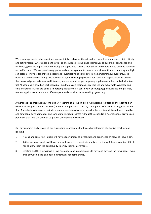We encourage pupils to become independent thinkers allowing them freedom to explore, create and think critically and actively learn. Where possible they will be encouraged to challenge themselves to build their confidence and resilience, given the opportunity to develop the capacity to surprise themselves and others and to become confident and self-assured. We use questioning, praise and encouragement to develop a positive attitude to learning and high self-esteem. They are taught to be observant, investigative, curious, determined, imaginative, adventurous, cooperative and to use reasoning. We have realistic, yet challenging expectations and plan opportunities to extend their knowledge, experiences, and interests, motivating and supporting every pupil to reach their individual potential. All planning is based on each individual pupil to ensure their goals are realistic and achievable. Adult led and child-initiated activities are equally important; adults interact sensitively, encouraging perseverance and practice, reinforcing that we all learn at a different pace and can all learn when things go wrong.

A therapeutic approach is key to the dailyy teaching of all the children. All children are offered a therapeutic plan which includes (but is not exclusive to) Equine Therapy, Music Therapy, Therapeutic Life Story and Yoga and Meditation. These help us to ensure that all children are able to achieve in line with there potential. We address cognitive and emotional development as one cannot make good progress without the other. Little Acorns School provides experiences that help the children to grow in every sense of the word.

Our environment and delivery of our curriculum incorporates the three characteristics of effective teaching and learning;

- 1. Playing and exploring pupils will have opportunities to investigate and experience things, and 'have a go'.
- 2. Active learning pupils will have time and space to concentrate and keep on trying if they encounter difficulties to allow them the opportunity to enjoy their achievements.
- 3. Creating and thinking critically we encourage and support pupils to have and develop their own ideas, make links between ideas, and develop strategies for doing things.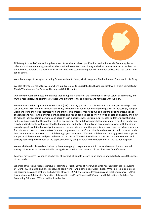

PE is taught on and off site and pupils can work towards entry level qualifications and unit awards. Swimming is also offer and national swimming awards can be obtained. We offer trampolining at the local leisure centre and athletics at the Julie Rose Stadium. We have had instructors onsite to teach fencing, football and been off site with use squash and tennis courts.

We offer a range of therapies including Equine, Animal Assisted, Music, Yoga and Meditation and Therapeutic Life Story.

We also offer forest school provision where pupils are able to undertake land based practical work. This is completed at March Wood and/or Eco-Sensory Therapy and Oak Therapies.

Our 'Prevent' work promotes and ensures that all pupils are aware of the fundamental British values of democracy and mutual respect for, and tolerance of, those with different faiths and beliefs, and for those without faith.

We comply with the Department for Education (DfE) statutory guidance on relationships education, relationships, and sex education (RSE) and health education. Today's children and young people are growing up in an increasingly complex world and living their lives seamlessly on and offline. This presents many positive and exciting opportunities, but also challenges and risks. In this environment, children and young people need to know how to be safe and healthy and how to manage their academic, personal, and social lives in a positive way. Our guiding principles to delivering relationship and sex education is that the content must be age appropriate and developmentally appropriate. It must be taught sensitively and inclusively, with respect to the backgrounds and beliefs of pupils and parents while always with the aim of providing pupils with the knowledge they need of the law. We are clear that parents and carers are the prime educators for children on many of these matters. Schools complement and reinforce this role and we seek to build on what pupils learn at home as an important part of delivering a good education. We seek to deliver outstanding provision to support the personal development and pastoral needs of our pupils. We work flexibility to shape the curriculum content and delivery according to the needs of the pupils particularly being mindful to the backgrounds of the residential pupils.

We enrich the school-based curriculum by broadening pupils' experiences within the local community and beyond through visits, trips and where suitable having visitors on site. We create a culture of respect for difference.

Teachers have access to a range of schemes of work which enable lessons to be planned and adapted around the needs of the pupils.

Schemes of work and resources include: - Hamilton Trust Schemes of work which Little Acorns subscribes to covering EYFS until KS3 in maths, English, science, and topic work - Twinkl schemes of work - Read, Write, Inc– Numicon, Breaking Barriers- AQA specifications and schemes of work - NSPCC share aware lesson plans and teacher guidance - NSPCC lesson planning Relationship Education, Relationships and Sex Education (RSE) and Health Education. - Switched On Computing Schemes of Work. White Rose Maths.